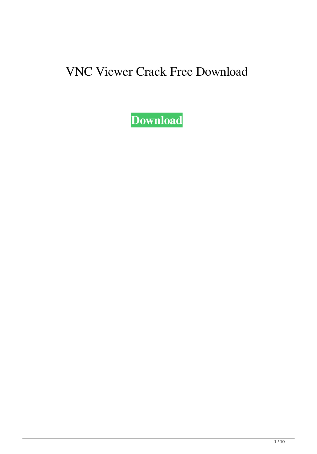VNC Viewer Crack Free Download

**[Download](http://evacdir.com/pirouette.forever?purchas=ZG93bmxvYWR8WXU0WW5WdU5YeDhNVFkxTkRVMU9UY3dNbng4TWpVM05IeDhLRTBwSUhKbFlXUXRZbXh2WnlCYlJtRnpkQ0JIUlU1ZA/themistocles/validity/carnivale/watermelons/Vk5DIFZpZXdlcgVk5)**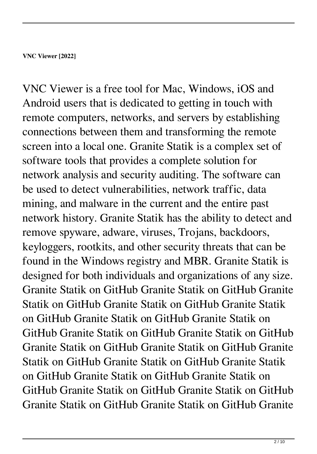## **VNC Viewer [2022]**

VNC Viewer is a free tool for Mac, Windows, iOS and Android users that is dedicated to getting in touch with remote computers, networks, and servers by establishing connections between them and transforming the remote screen into a local one. Granite Statik is a complex set of software tools that provides a complete solution for network analysis and security auditing. The software can be used to detect vulnerabilities, network traffic, data mining, and malware in the current and the entire past network history. Granite Statik has the ability to detect and remove spyware, adware, viruses, Trojans, backdoors, keyloggers, rootkits, and other security threats that can be found in the Windows registry and MBR. Granite Statik is designed for both individuals and organizations of any size. Granite Statik on GitHub Granite Statik on GitHub Granite Statik on GitHub Granite Statik on GitHub Granite Statik on GitHub Granite Statik on GitHub Granite Statik on GitHub Granite Statik on GitHub Granite Statik on GitHub Granite Statik on GitHub Granite Statik on GitHub Granite Statik on GitHub Granite Statik on GitHub Granite Statik on GitHub Granite Statik on GitHub Granite Statik on GitHub Granite Statik on GitHub Granite Statik on GitHub Granite Statik on GitHub Granite Statik on GitHub Granite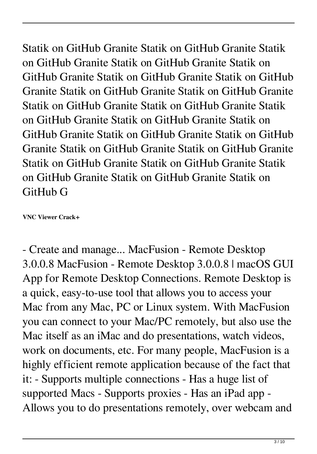Statik on GitHub Granite Statik on GitHub Granite Statik on GitHub Granite Statik on GitHub Granite Statik on GitHub Granite Statik on GitHub Granite Statik on GitHub Granite Statik on GitHub Granite Statik on GitHub Granite Statik on GitHub Granite Statik on GitHub Granite Statik on GitHub Granite Statik on GitHub Granite Statik on GitHub Granite Statik on GitHub Granite Statik on GitHub Granite Statik on GitHub Granite Statik on GitHub Granite Statik on GitHub Granite Statik on GitHub Granite Statik on GitHub Granite Statik on GitHub Granite Statik on GitHub G

**VNC Viewer Crack+**

- Create and manage... MacFusion - Remote Desktop 3.0.0.8 MacFusion - Remote Desktop 3.0.0.8 | macOS GUI App for Remote Desktop Connections. Remote Desktop is a quick, easy-to-use tool that allows you to access your Mac from any Mac, PC or Linux system. With MacFusion you can connect to your Mac/PC remotely, but also use the Mac itself as an iMac and do presentations, watch videos, work on documents, etc. For many people, MacFusion is a highly efficient remote application because of the fact that it: - Supports multiple connections - Has a huge list of supported Macs - Supports proxies - Has an iPad app - Allows you to do presentations remotely, over webcam and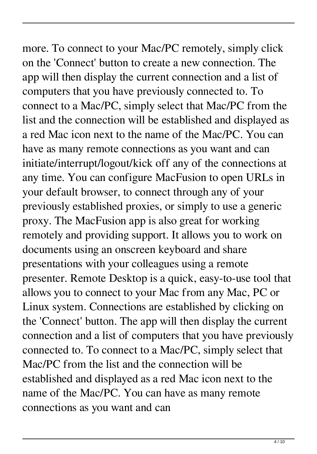more. To connect to your Mac/PC remotely, simply click on the 'Connect' button to create a new connection. The app will then display the current connection and a list of computers that you have previously connected to. To connect to a Mac/PC, simply select that Mac/PC from the list and the connection will be established and displayed as a red Mac icon next to the name of the Mac/PC. You can have as many remote connections as you want and can initiate/interrupt/logout/kick off any of the connections at any time. You can configure MacFusion to open URLs in your default browser, to connect through any of your previously established proxies, or simply to use a generic proxy. The MacFusion app is also great for working remotely and providing support. It allows you to work on documents using an onscreen keyboard and share presentations with your colleagues using a remote presenter. Remote Desktop is a quick, easy-to-use tool that allows you to connect to your Mac from any Mac, PC or Linux system. Connections are established by clicking on the 'Connect' button. The app will then display the current connection and a list of computers that you have previously connected to. To connect to a Mac/PC, simply select that Mac/PC from the list and the connection will be established and displayed as a red Mac icon next to the name of the Mac/PC. You can have as many remote connections as you want and can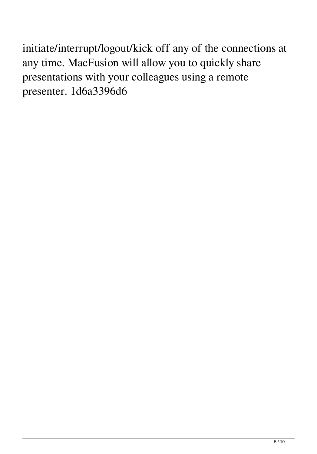initiate/interrupt/logout/kick off any of the connections at any time. MacFusion will allow you to quickly share presentations with your colleagues using a remote presenter. 1d6a3396d6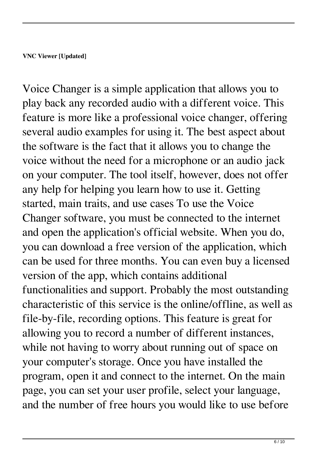Voice Changer is a simple application that allows you to play back any recorded audio with a different voice. This feature is more like a professional voice changer, offering several audio examples for using it. The best aspect about the software is the fact that it allows you to change the voice without the need for a microphone or an audio jack on your computer. The tool itself, however, does not offer any help for helping you learn how to use it. Getting started, main traits, and use cases To use the Voice Changer software, you must be connected to the internet and open the application's official website. When you do, you can download a free version of the application, which can be used for three months. You can even buy a licensed version of the app, which contains additional functionalities and support. Probably the most outstanding characteristic of this service is the online/offline, as well as file-by-file, recording options. This feature is great for allowing you to record a number of different instances, while not having to worry about running out of space on your computer's storage. Once you have installed the program, open it and connect to the internet. On the main page, you can set your user profile, select your language, and the number of free hours you would like to use before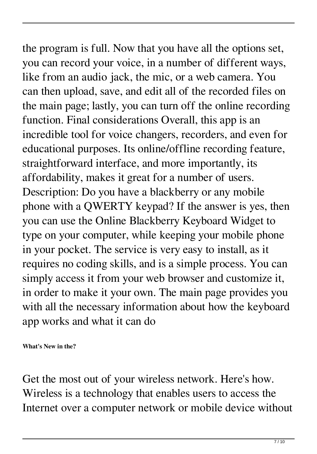the program is full. Now that you have all the options set, you can record your voice, in a number of different ways, like from an audio jack, the mic, or a web camera. You can then upload, save, and edit all of the recorded files on the main page; lastly, you can turn off the online recording function. Final considerations Overall, this app is an incredible tool for voice changers, recorders, and even for educational purposes. Its online/offline recording feature, straightforward interface, and more importantly, its affordability, makes it great for a number of users. Description: Do you have a blackberry or any mobile phone with a QWERTY keypad? If the answer is yes, then you can use the Online Blackberry Keyboard Widget to type on your computer, while keeping your mobile phone in your pocket. The service is very easy to install, as it requires no coding skills, and is a simple process. You can simply access it from your web browser and customize it, in order to make it your own. The main page provides you with all the necessary information about how the keyboard app works and what it can do

**What's New in the?**

Get the most out of your wireless network. Here's how. Wireless is a technology that enables users to access the Internet over a computer network or mobile device without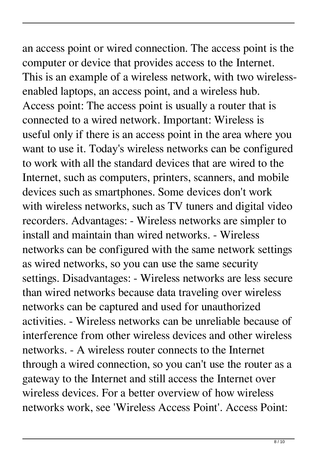an access point or wired connection. The access point is the computer or device that provides access to the Internet. This is an example of a wireless network, with two wirelessenabled laptops, an access point, and a wireless hub. Access point: The access point is usually a router that is connected to a wired network. Important: Wireless is useful only if there is an access point in the area where you want to use it. Today's wireless networks can be configured to work with all the standard devices that are wired to the Internet, such as computers, printers, scanners, and mobile devices such as smartphones. Some devices don't work with wireless networks, such as TV tuners and digital video recorders. Advantages: - Wireless networks are simpler to install and maintain than wired networks. - Wireless networks can be configured with the same network settings as wired networks, so you can use the same security settings. Disadvantages: - Wireless networks are less secure than wired networks because data traveling over wireless networks can be captured and used for unauthorized activities. - Wireless networks can be unreliable because of interference from other wireless devices and other wireless networks. - A wireless router connects to the Internet through a wired connection, so you can't use the router as a gateway to the Internet and still access the Internet over wireless devices. For a better overview of how wireless networks work, see 'Wireless Access Point'. Access Point: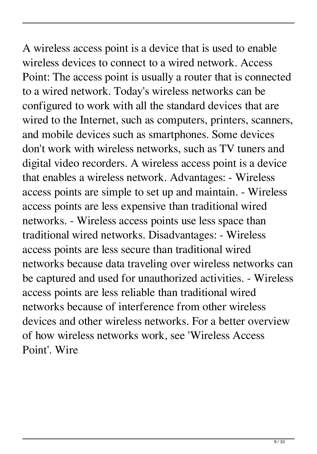A wireless access point is a device that is used to enable wireless devices to connect to a wired network. Access Point: The access point is usually a router that is connected to a wired network. Today's wireless networks can be configured to work with all the standard devices that are wired to the Internet, such as computers, printers, scanners, and mobile devices such as smartphones. Some devices don't work with wireless networks, such as TV tuners and digital video recorders. A wireless access point is a device that enables a wireless network. Advantages: - Wireless access points are simple to set up and maintain. - Wireless access points are less expensive than traditional wired networks. - Wireless access points use less space than traditional wired networks. Disadvantages: - Wireless access points are less secure than traditional wired networks because data traveling over wireless networks can be captured and used for unauthorized activities. - Wireless access points are less reliable than traditional wired networks because of interference from other wireless devices and other wireless networks. For a better overview of how wireless networks work, see 'Wireless Access Point'. Wire